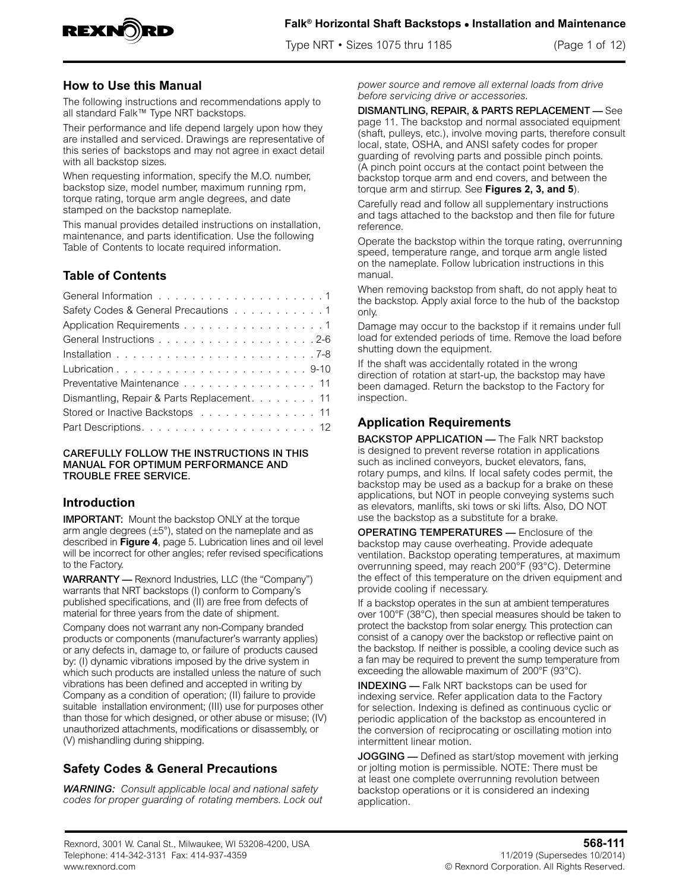

### **Falk® Horizontal Shaft Backstops • Installation and Maintenance**

Type NRT • Sizes 1075 thru 1185 (Page 1 of 12)

### **How to Use this Manual**

The following instructions and recommendations apply to all standard Falk™ Type NRT backstops.

Their performance and life depend largely upon how they are installed and serviced. Drawings are representative of this series of backstops and may not agree in exact detail with all backstop sizes.

When requesting information, specify the M.O. number, backstop size, model number, maximum running rpm, torque rating, torque arm angle degrees, and date stamped on the backstop nameplate.

This manual provides detailed instructions on installation, maintenance, and parts identification. Use the following Table of Contents to locate required information.

# **Table of Contents**

| Safety Codes & General Precautions 1        |
|---------------------------------------------|
| Application Requirements 1                  |
|                                             |
|                                             |
|                                             |
| Preventative Maintenance 11                 |
| Dismantling, Repair & Parts Replacement. 11 |
| Stored or Inactive Backstops 11             |
|                                             |

CAREFULLY FOLLOW THE INSTRUCTIONS IN THIS MANUAL FOR OPTIMUM PERFORMANCE AND TROUBLE FREE SERVICE.

### **Introduction**

IMPORTANT: Mount the backstop ONLY at the torque arm angle degrees  $(\pm 5^{\circ})$ , stated on the nameplate and as described in **[Figure 4](#page-4-0)**, page 5. Lubrication lines and oil level will be incorrect for other angles; refer revised specifications to the Factory.

WARRANTY — Rexnord Industries, LLC (the "Company") warrants that NRT backstops (I) conform to Company's published specifications, and (II) are free from defects of material for three years from the date of shipment.

Company does not warrant any non-Company branded products or components (manufacturer's warranty applies) or any defects in, damage to, or failure of products caused by: (I) dynamic vibrations imposed by the drive system in which such products are installed unless the nature of such vibrations has been defined and accepted in writing by Company as a condition of operation; (II) failure to provide suitable installation environment; (III) use for purposes other than those for which designed, or other abuse or misuse; (IV) unauthorized attachments, modifications or disassembly, or (V) mishandling during shipping.

# **Safety Codes & General Precautions**

*WARNING: Consult applicable local and national safety codes for proper guarding of rotating members. Lock out*  *power source and remove all external loads from drive before servicing drive or accessories.*

DISMANTLING, REPAIR, & PARTS REPLACEMENT — See page 11. The backstop and normal associated equipment (shaft, pulleys, etc.), involve moving parts, therefore consult local, state, OSHA, and ANSI safety codes for proper guarding of revolving parts and possible pinch points. (A pinch point occurs at the contact point between the backstop torque arm and end covers, and between the torque arm and stirrup. See **[Figures 2, 3, and 5](#page-4-1)**).

Carefully read and follow all supplementary instructions and tags attached to the backstop and then file for future reference.

Operate the backstop within the torque rating, overrunning speed, temperature range, and torque arm angle listed on the nameplate. Follow lubrication instructions in this manual.

When removing backstop from shaft, do not apply heat to the backstop. Apply axial force to the hub of the backstop only.

Damage may occur to the backstop if it remains under full load for extended periods of time. Remove the load before shutting down the equipment.

If the shaft was accidentally rotated in the wrong direction of rotation at start-up, the backstop may have been damaged. Return the backstop to the Factory for inspection.

# **Application Requirements**

**BACKSTOP APPLICATION** - The Falk NRT backstop is designed to prevent reverse rotation in applications such as inclined conveyors, bucket elevators, fans, rotary pumps, and kilns. If local safety codes permit, the backstop may be used as a backup for a brake on these applications, but NOT in people conveying systems such as elevators, manlifts, ski tows or ski lifts. Also, DO NOT use the backstop as a substitute for a brake.

OPERATING TEMPERATURES — Enclosure of the backstop may cause overheating. Provide adequate ventilation. Backstop operating temperatures, at maximum overrunning speed, may reach 200°F (93°C). Determine the effect of this temperature on the driven equipment and provide cooling if necessary.

If a backstop operates in the sun at ambient temperatures over 100°F (38°C), then special measures should be taken to protect the backstop from solar energy. This protection can consist of a canopy over the backstop or reflective paint on the backstop. If neither is possible, a cooling device such as a fan may be required to prevent the sump temperature from exceeding the allowable maximum of 200°F (93°C).

INDEXING — Falk NRT backstops can be used for indexing service. Refer application data to the Factory for selection. Indexing is defined as continuous cyclic or periodic application of the backstop as encountered in the conversion of reciprocating or oscillating motion into intermittent linear motion.

JOGGING - Defined as start/stop movement with jerking or jolting motion is permissible. NOTE: There must be at least one complete overrunning revolution between backstop operations or it is considered an indexing application.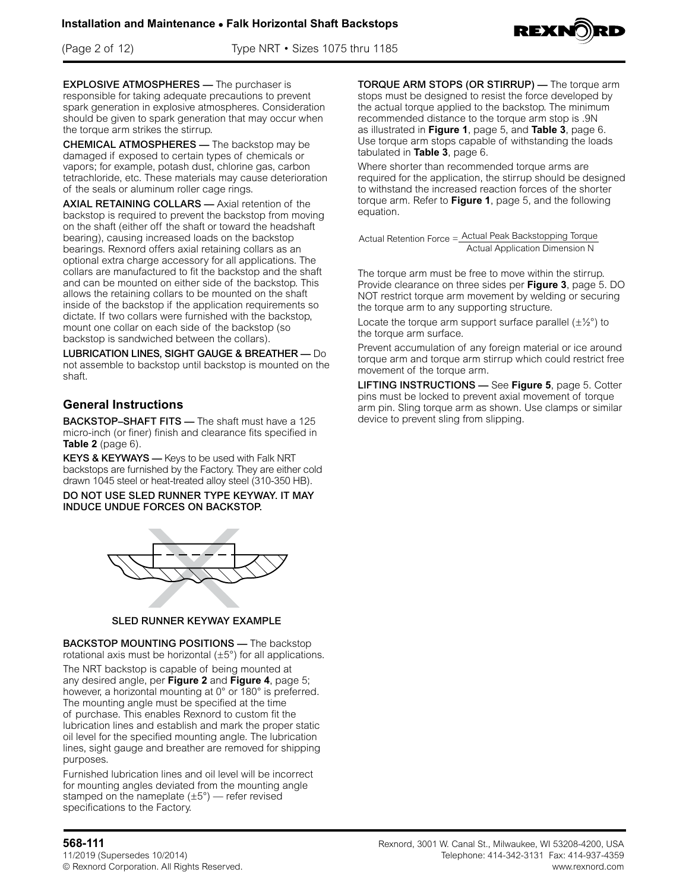<span id="page-1-0"></span>(Page 2 of 12) Type NRT • Sizes 1075 thru 1185



EXPLOSIVE ATMOSPHERES — The purchaser is responsible for taking adequate precautions to prevent spark generation in explosive atmospheres. Consideration should be given to spark generation that may occur when the torque arm strikes the stirrup.

CHEMICAL ATMOSPHERES — The backstop may be damaged if exposed to certain types of chemicals or vapors; for example, potash dust, chlorine gas, carbon tetrachloride, etc. These materials may cause deterioration of the seals or aluminum roller cage rings.

AXIAL RETAINING COLLARS - Axial retention of the backstop is required to prevent the backstop from moving on the shaft (either off the shaft or toward the headshaft bearing), causing increased loads on the backstop bearings. Rexnord offers axial retaining collars as an optional extra charge accessory for all applications. The collars are manufactured to fit the backstop and the shaft and can be mounted on either side of the backstop. This allows the retaining collars to be mounted on the shaft inside of the backstop if the application requirements so dictate. If two collars were furnished with the backstop, mount one collar on each side of the backstop (so backstop is sandwiched between the collars).

LUBRICATION LINES, SIGHT GAUGE & BREATHER — Do not assemble to backstop until backstop is mounted on the shaft.

### **General Instructions**

BACKSTOP–SHAFT FITS — The shaft must have a 125 micro-inch (or finer) finish and clearance fits specified in **[Table 2](#page-5-0)** (page 6).

**KEYS & KEYWAYS** — Keys to be used with Falk NRT backstops are furnished by the Factory. They are either cold drawn 1045 steel or heat-treated alloy steel (310-350 HB).

DO NOT USE SLED RUNNER TYPE KEYWAY. IT MAY INDUCE UNDUE FORCES ON BACKSTOP.



#### SLED RUNNER KEYWAY EXAMPLE

BACKSTOP MOUNTING POSITIONS — The backstop rotational axis must be horizontal  $(\pm 5^{\circ})$  for all applications.

The NRT backstop is capable of being mounted at any desired angle, per **[Figure 2](#page-4-2)** and **[Figure 4](#page-4-0)**, page 5; however, a horizontal mounting at 0° or 180° is preferred. The mounting angle must be specified at the time of purchase. This enables Rexnord to custom fit the lubrication lines and establish and mark the proper static oil level for the specified mounting angle. The lubrication lines, sight gauge and breather are removed for shipping purposes.

Furnished lubrication lines and oil level will be incorrect for mounting angles deviated from the mounting angle stamped on the nameplate  $(\pm 5^{\circ})$  — refer revised specifications to the Factory.

TORQUE ARM STOPS (OR STIRRUP) — The torque arm stops must be designed to resist the force developed by the actual torque applied to the backstop. The minimum recommended distance to the torque arm stop is .9N as illustrated in **[Figure 1](#page-4-3)**, page 5, and **[Table 3](#page-5-1)**, page 6. Use torque arm stops capable of withstanding the loads tabulated in **[Table 3](#page-5-1)**, page 6.

Where shorter than recommended torque arms are required for the application, the stirrup should be designed to withstand the increased reaction forces of the shorter torque arm. Refer to **[Figure 1](#page-4-3)**, page 5, and the following equation.

Actual Retention Force = Actual Peak Backstopping Torque Actual Application Dimension N

The torque arm must be free to move within the stirrup. Provide clearance on three sides per **[Figure 3](#page-4-4)**, page 5. DO NOT restrict torque arm movement by welding or securing the torque arm to any supporting structure.

Locate the torque arm support surface parallel  $(\pm\frac{1}{2})^{\circ}$  to the torque arm surface.

Prevent accumulation of any foreign material or ice around torque arm and torque arm stirrup which could restrict free movement of the torque arm.

LIFTING INSTRUCTIONS — See **[Figure 5](#page-4-5)**, page 5. Cotter pins must be locked to prevent axial movement of torque arm pin. Sling torque arm as shown. Use clamps or similar device to prevent sling from slipping.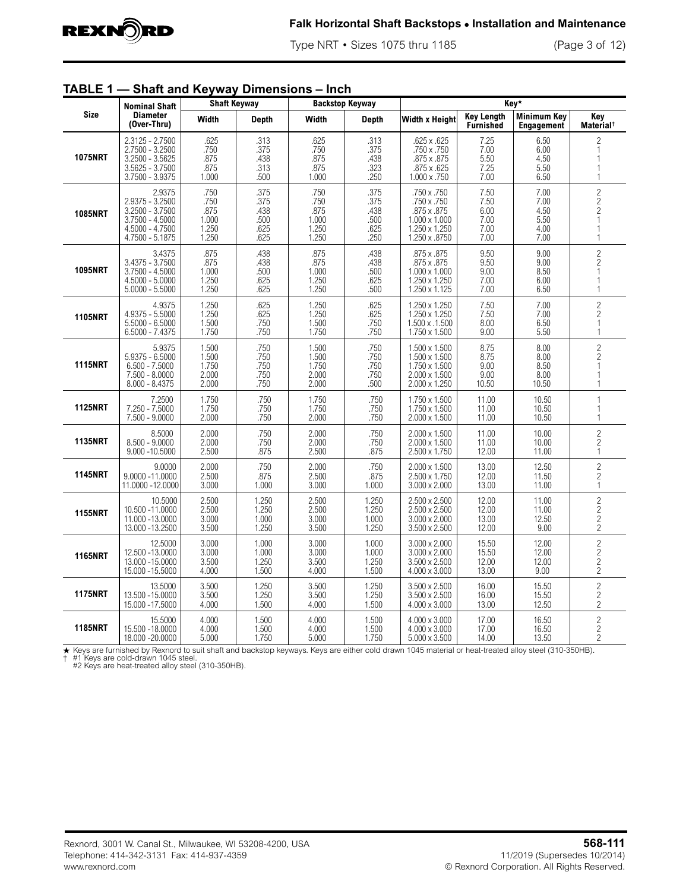<span id="page-2-0"></span>

Type NRT • Sizes 1075 thru 1185 (Page 3 of 12)

|                | <b>Nominal Shaft</b>                                                                                        | onan anu reyway<br><b>Shaft Keyway</b>          | <b>טווטופוו</b> סווווע                       | 11 I V I I                                      | <b>Backstop Keyway</b>                       |                                                                                              |                                              | Key*                                         |                                                              |
|----------------|-------------------------------------------------------------------------------------------------------------|-------------------------------------------------|----------------------------------------------|-------------------------------------------------|----------------------------------------------|----------------------------------------------------------------------------------------------|----------------------------------------------|----------------------------------------------|--------------------------------------------------------------|
| <b>Size</b>    | <b>Diameter</b><br>(Over-Thru)                                                                              | Width                                           | Depth                                        | <b>Width</b>                                    | <b>Depth</b>                                 | <b>Width x Height</b>                                                                        | <b>Key Length</b><br><b>Furnished</b>        | <b>Minimum Key</b><br><b>Engagement</b>      | Key<br>Material <sup>+</sup>                                 |
| <b>1075NRT</b> | 2.3125 - 2.7500<br>$2.7500 - 3.2500$<br>$3.2500 - 3.5625$<br>$3.5625 - 3.7500$<br>3.7500 - 3.9375           | .625<br>.750<br>.875<br>.875<br>1.000           | .313<br>.375<br>.438<br>.313<br>.500         | .625<br>.750<br>.875<br>.875<br>1.000           | .313<br>.375<br>.438<br>.323<br>.250         | $.625 \times .625$<br>.750 x .750<br>.875 x .875<br>.875 x .625<br>1.000 x .750              | 7.25<br>7.00<br>5.50<br>7.25<br>7.00         | 6.50<br>6.00<br>4.50<br>5.50<br>6.50         | $\overline{c}$<br>$\mathbf{1}$<br>1<br>1                     |
| <b>1085NRT</b> | 2.9375<br>$2.9375 - 3.2500$<br>$3.2500 - 3.7500$<br>$3.7500 - 4.5000$<br>4.5000 - 4.7500<br>4.7500 - 5.1875 | .750<br>.750<br>.875<br>1.000<br>1.250<br>1.250 | .375<br>.375<br>.438<br>.500<br>.625<br>.625 | .750<br>.750<br>.875<br>1.000<br>1.250<br>1.250 | .375<br>.375<br>.438<br>.500<br>.625<br>.250 | .750 x .750<br>.750 x .750<br>.875 x .875<br>1.000 x 1.000<br>1.250 x 1.250<br>1.250 x .8750 | 7.50<br>7.50<br>6.00<br>7.00<br>7.00<br>7.00 | 7.00<br>7.00<br>4.50<br>5.50<br>4.00<br>7.00 | $\overline{c}$<br>$\frac{2}{2}$<br>1<br>1                    |
| <b>1095NRT</b> | 3.4375<br>3.4375 - 3.7500<br>$3.7500 - 4.5000$<br>4.5000 - 5.0000<br>$5.0000 - 5.5000$                      | .875<br>.875<br>1.000<br>1.250<br>1.250         | .438<br>.438<br>.500<br>.625<br>.625         | .875<br>.875<br>1.000<br>1.250<br>1.250         | .438<br>.438<br>.500<br>.625<br>.500         | .875 x .875<br>.875 x .875<br>$1.000 \times 1.000$<br>1.250 x 1.250<br>1.250 x 1.125         | 9.50<br>9.50<br>9.00<br>7.00<br>7.00         | 9.00<br>9.00<br>8.50<br>6.00<br>6.50         | $\overline{c}$<br>$\overline{c}$<br>$\mathbf{1}$<br>1        |
| <b>1105NRT</b> | 4.9375<br>4.9375 - 5.5000<br>$5.5000 - 6.5000$<br>$6.5000 - 7.4375$                                         | 1.250<br>1.250<br>1.500<br>1.750                | .625<br>.625<br>.750<br>.750                 | 1.250<br>1.250<br>1.500<br>1.750                | .625<br>.625<br>.750<br>.750                 | 1.250 x 1.250<br>1.250 x 1.250<br>1.500 x .1.500<br>1.750 x 1.500                            | 7.50<br>7.50<br>8.00<br>9.00                 | 7.00<br>7.00<br>6.50<br>5.50                 | $\overline{c}$<br>$\overline{c}$<br>1                        |
| <b>1115NRT</b> | 5.9375<br>$5.9375 - 6.5000$<br>$6.500 - 7.5000$<br>$7.500 - 8.0000$<br>$8.000 - 8.4375$                     | 1.500<br>1.500<br>1.750<br>2.000<br>2.000       | .750<br>.750<br>.750<br>.750<br>.750         | 1.500<br>1.500<br>1.750<br>2.000<br>2.000       | .750<br>.750<br>.750<br>.750<br>.500         | 1.500 x 1.500<br>1.500 x 1.500<br>1.750 x 1.500<br>$2.000 \times 1.500$<br>2.000 x 1.250     | 8.75<br>8.75<br>9.00<br>9.00<br>10.50        | 8.00<br>8.00<br>8.50<br>8.00<br>10.50        | $\overline{c}$<br>$\overline{c}$<br>$\mathbf{1}$<br>1        |
| <b>1125NRT</b> | 7.2500<br>7.250 - 7.5000<br>$7.500 - 9.0000$                                                                | 1.750<br>1.750<br>2.000                         | .750<br>.750<br>.750                         | 1.750<br>1.750<br>2.000                         | .750<br>.750<br>.750                         | 1.750 x 1.500<br>1.750 x 1.500<br>2.000 x 1.500                                              | 11.00<br>11.00<br>11.00                      | 10.50<br>10.50<br>10.50                      | 1<br>1<br>1                                                  |
| <b>1135NRT</b> | 8.5000<br>$8.500 - 9.0000$<br>$9.000 - 10.5000$                                                             | 2.000<br>2.000<br>2.500                         | .750<br>.750<br>.875                         | 2.000<br>2.000<br>2.500                         | .750<br>.750<br>.875                         | 2.000 x 1.500<br>$2.000 \times 1.500$<br>2.500 x 1.750                                       | 11.00<br>11.00<br>12.00                      | 10.00<br>10.00<br>11.00                      | $\overline{c}$<br>$\overline{c}$<br>1                        |
| <b>1145NRT</b> | 9.0000<br>$9.0000 - 11.0000$<br>11.0000 -12.0000                                                            | 2.000<br>2.500<br>3.000                         | .750<br>.875<br>1.000                        | 2.000<br>2.500<br>3.000                         | .750<br>.875<br>1.000                        | 2.000 x 1.500<br>$2.500 \times 1.750$<br>$3.000 \times 2.000$                                | 13.00<br>12.00<br>13.00                      | 12.50<br>11.50<br>11.00                      | $\frac{2}{2}$<br>1                                           |
| <b>1155NRT</b> | 10.5000<br>10.500 - 11.0000<br>11.000 - 13.0000<br>13.000 - 13.2500                                         | 2.500<br>2.500<br>3.000<br>3.500                | 1.250<br>1.250<br>1.000<br>1.250             | 2.500<br>2.500<br>3.000<br>3.500                | $1.250$<br>$1.250$<br>1.000<br>1.250         | 2.500 x 2.500<br>2.500 x 2.500<br>$3.000 \times 2.000$<br>$3.500 \times 2.500$               | 12.00<br>12.00<br>13.00<br>12.00             | 11.00<br>11.00<br>12.50<br>9.00              | $\begin{array}{c}\n2 \\ 2 \\ 2\n\end{array}$                 |
| <b>1165NRT</b> | 12.5000<br>12.500 - 13.0000<br>13.000 - 15.0000<br>15.000 - 15.5000                                         | 3.000<br>3.000<br>3.500<br>4.000                | 1.000<br>1.000<br>1.250<br>1.500             | 3.000<br>3.000<br>3.500<br>4.000                | 1.000<br>1.000<br>1.250<br>1.500             | $3.000 \times 2.000$<br>$3.000 \times 2.000$<br>3.500 x 2.500<br>4.000 x 3.000               | 15.50<br>15.50<br>12.00<br>13.00             | 12.00<br>12.00<br>12.00<br>9.00              | $\overline{c}$<br>$\begin{array}{c} 2 \\ 2 \\ 2 \end{array}$ |
| <b>1175NRT</b> | 13.5000<br>13.500 - 15.0000<br>15.000 - 17.5000                                                             | 3.500<br>3.500<br>4.000                         | 1.250<br>1.250<br>1.500                      | 3.500<br>3.500<br>4.000                         | 1.250<br>1.250<br>1.500                      | 3.500 x 2.500<br>3.500 x 2.500<br>$4.000 \times 3.000$                                       | 16.00<br>16.00<br>13.00                      | 15.50<br>15.50<br>12.50                      | $\begin{array}{c} 2 \\ 2 \\ 2 \end{array}$                   |
| <b>1185NRT</b> | 15.5000<br>15.500 - 18.0000<br>18.000 - 20.0000                                                             | 4.000<br>4.000<br>5.000                         | 1.500<br>1.500<br>1.750                      | 4.000<br>4.000<br>5.000                         | 1.500<br>1.500<br>1.750                      | $4.000 \times 3.000$<br>4.000 x 3.000<br>$5.000 \times 3.500$                                | 17.00<br>17.00<br>14.00                      | 16.50<br>16.50<br>13.50                      | $\frac{2}{2}$<br>$\overline{2}$                              |

# **TABLE 1 — Shaft and Keyway Dimensions – Inch**

★ Keys are furnished by Rexnord to suit shaft and backstop keyways. Keys are either cold drawn 1045 material or heat-treated alloy steel (310-350HB).<br>† #1 Keys are cold-drawn 1045 steel.<br>+ #2 Keys are heat-treated alloy s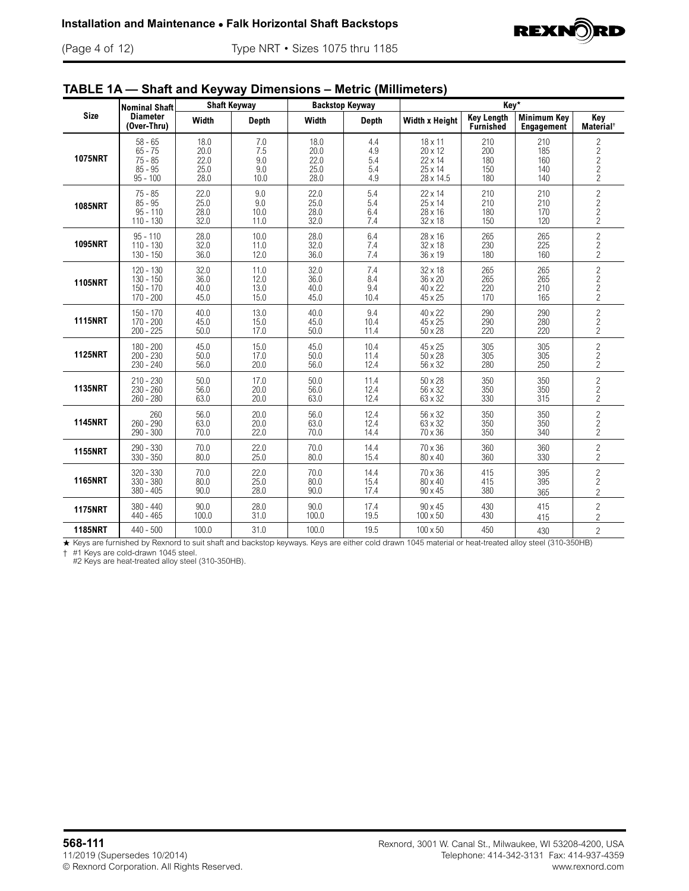

<span id="page-3-0"></span>(Page 4 of 12) Type NRT • Sizes 1075 thru 1185

# **TABLE 1A — Shaft and Keyway Dimensions – Metric (Millimeters)**

|                | <b>Nominal Shaft</b>                                           | <b>Shaft Keyway</b>                  |                                  |                                      | <b>Backstop Keyway</b>          |                                                       | Key*                                  |                                         |                                                                                |
|----------------|----------------------------------------------------------------|--------------------------------------|----------------------------------|--------------------------------------|---------------------------------|-------------------------------------------------------|---------------------------------------|-----------------------------------------|--------------------------------------------------------------------------------|
| <b>Size</b>    | <b>Diameter</b><br>(Over-Thru)                                 | Width                                | <b>Depth</b>                     | Width                                | <b>Depth</b>                    | <b>Width x Height</b>                                 | <b>Key Length</b><br><b>Furnished</b> | <b>Minimum Key</b><br><b>Engagement</b> | Key<br>Material <sup>+</sup>                                                   |
| <b>1075NRT</b> | $58 - 65$<br>$65 - 75$<br>$75 - 85$<br>$85 - 95$<br>$95 - 100$ | 18.0<br>20.0<br>22.0<br>25.0<br>28.0 | 7.0<br>7.5<br>9.0<br>9.0<br>10.0 | 18.0<br>20.0<br>22.0<br>25.0<br>28.0 | 4.4<br>4.9<br>5.4<br>5.4<br>4.9 | 18 x 11<br>20 x 12<br>22 x 14<br>25 x 14<br>28 x 14.5 | 210<br>200<br>180<br>150<br>180       | 210<br>185<br>160<br>140<br>140         | $\begin{array}{c} 2 \\ 2 \\ 2 \end{array}$<br>$\overline{c}$<br>$\overline{c}$ |
| <b>1085NRT</b> | $75 - 85$<br>$85 - 95$<br>$95 - 110$<br>$110 - 130$            | 22.0<br>25.0<br>28.0<br>32.0         | 9.0<br>9.0<br>10.0<br>11.0       | 22.0<br>25.0<br>28.0<br>32.0         | 5.4<br>5.4<br>6.4<br>7.4        | 22 x 14<br>25 x 14<br>28 x 16<br>$32 \times 18$       | 210<br>210<br>180<br>150              | 210<br>210<br>170<br>120                | $\overline{c}$<br>$\frac{2}{2}$<br>$\overline{c}$                              |
| <b>1095NRT</b> | $95 - 110$                                                     | 28.0                                 | 10.0                             | 28.0                                 | 6.4                             | $28 \times 16$                                        | 265                                   | 265                                     | $\overline{c}$                                                                 |
|                | $110 - 130$                                                    | 32.0                                 | 11.0                             | 32.0                                 | 7.4                             | 32 x 18                                               | 230                                   | 225                                     | $\overline{c}$                                                                 |
|                | $130 - 150$                                                    | 36.0                                 | 12.0                             | 36.0                                 | 7.4                             | 36 x 19                                               | 180                                   | 160                                     | $\overline{c}$                                                                 |
| <b>1105NRT</b> | $120 - 130$<br>$130 - 150$<br>150 - 170<br>$170 - 200$         | 32.0<br>36.0<br>40.0<br>45.0         | 11.0<br>12.0<br>13.0<br>15.0     | 32.0<br>36.0<br>40.0<br>45.0         | 7.4<br>8.4<br>9.4<br>10.4       | 32 x 18<br>36 x 20<br>40 x 22<br>45 x 25              | 265<br>265<br>220<br>170              | 265<br>265<br>210<br>165                | $\overline{c}$<br>$\frac{2}{2}$<br>$\overline{2}$                              |
| <b>1115NRT</b> | $150 - 170$                                                    | 40.0                                 | 13.0                             | 40.0                                 | 9.4                             | 40 x 22                                               | 290                                   | 290                                     | $\overline{c}$                                                                 |
|                | $170 - 200$                                                    | 45.0                                 | 15.0                             | 45.0                                 | 10.4                            | 45 x 25                                               | 290                                   | 280                                     | $\overline{c}$                                                                 |
|                | $200 - 225$                                                    | 50.0                                 | 17.0                             | 50.0                                 | 11.4                            | $50 \times 28$                                        | 220                                   | 220                                     | $\overline{c}$                                                                 |
| <b>1125NRT</b> | $180 - 200$                                                    | 45.0                                 | 15.0                             | 45.0                                 | 10.4                            | 45 x 25                                               | 305                                   | 305                                     | $\overline{c}$                                                                 |
|                | $200 - 230$                                                    | 50.0                                 | 17.0                             | 50.0                                 | 11.4                            | 50 x 28                                               | 305                                   | 305                                     | 2                                                                              |
|                | $230 - 240$                                                    | 56.0                                 | 20.0                             | 56.0                                 | 12.4                            | 56 x 32                                               | 280                                   | 250                                     | 2                                                                              |
| <b>1135NRT</b> | $210 - 230$                                                    | 50.0                                 | 17.0                             | 50.0                                 | 11.4                            | 50 x 28                                               | 350                                   | 350                                     | $\overline{c}$                                                                 |
|                | $230 - 260$                                                    | 56.0                                 | 20.0                             | 56.0                                 | 12.4                            | 56 x 32                                               | 350                                   | 350                                     | $\sqrt{2}$                                                                     |
|                | $260 - 280$                                                    | 63.0                                 | 20.0                             | 63.0                                 | 12.4                            | 63 x 32                                               | 330                                   | 315                                     | $\overline{c}$                                                                 |
| <b>1145NRT</b> | 260                                                            | 56.0                                 | 20.0                             | 56.0                                 | 12.4                            | 56 x 32                                               | 350                                   | 350                                     | $\overline{c}$                                                                 |
|                | $260 - 290$                                                    | 63.0                                 | 20.0                             | 63.0                                 | 12.4                            | 63 x 32                                               | 350                                   | 350                                     | $\overline{c}$                                                                 |
|                | $290 - 300$                                                    | 70.0                                 | 22.0                             | 70.0                                 | 14.4                            | 70 x 36                                               | 350                                   | 340                                     | $\overline{c}$                                                                 |
| <b>1155NRT</b> | 290 - 330                                                      | 70.0                                 | 22.0                             | 70.0                                 | 14.4                            | 70 x 36                                               | 360                                   | 360                                     | $\overline{c}$                                                                 |
|                | $330 - 350$                                                    | 80.0                                 | 25.0                             | 80.0                                 | 15.4                            | 80 x 40                                               | 360                                   | 330                                     | $\overline{2}$                                                                 |
| <b>1165NRT</b> | $320 - 330$                                                    | 70.0                                 | 22.0                             | 70.0                                 | 14.4                            | 70 x 36                                               | 415                                   | 395                                     | $\overline{c}$                                                                 |
|                | $330 - 380$                                                    | 80.0                                 | 25.0                             | 80.0                                 | 15.4                            | 80 x 40                                               | 415                                   | 395                                     | $\overline{c}$                                                                 |
|                | $380 - 405$                                                    | 90.0                                 | 28.0                             | 90.0                                 | 17.4                            | 90 x 45                                               | 380                                   | 365                                     | $\overline{c}$                                                                 |
| <b>1175NRT</b> | $380 - 440$                                                    | 90.0                                 | 28.0                             | 90.0                                 | 17.4                            | 90 x 45                                               | 430                                   | 415                                     | $\overline{c}$                                                                 |
|                | $440 - 465$                                                    | 100.0                                | 31.0                             | 100.0                                | 19.5                            | $100 \times 50$                                       | 430                                   | 415                                     | $\overline{c}$                                                                 |
| <b>1185NRT</b> | $440 - 500$                                                    | 100.0                                | 31.0                             | 100.0                                | 19.5                            | 100 x 50                                              | 450                                   | 430                                     | $\overline{c}$                                                                 |

+ Keys are furnished by Rexnord to suit shaft and backstop keyways. Keys are either cold drawn 1045 material or heat-treated alloy steel (310-350HB)

† #1 Keys are cold-drawn 1045 steel. #2 Keys are heat-treated alloy steel (310-350HB).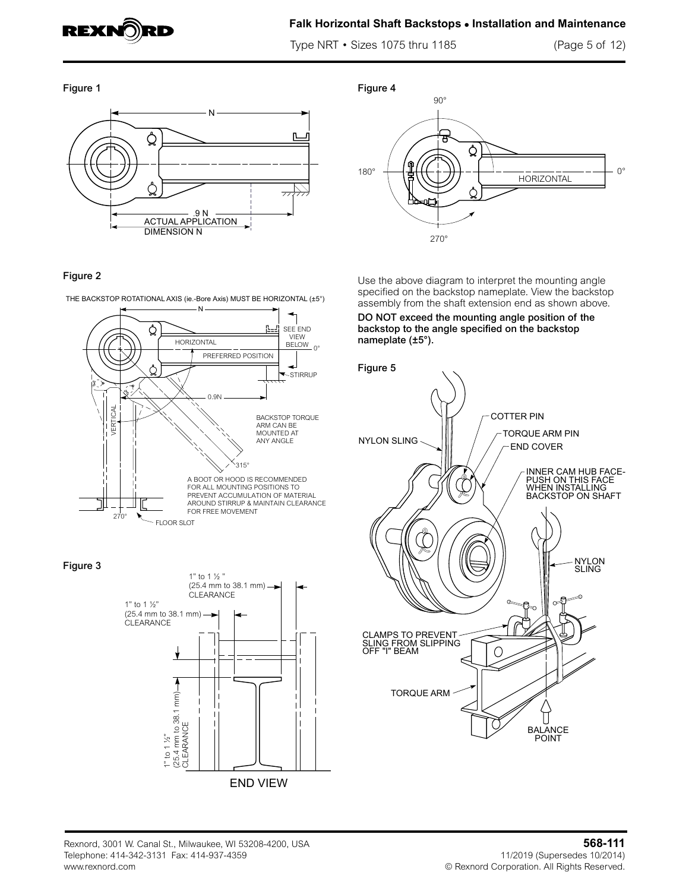<span id="page-4-1"></span>

### **Falk Horizontal Shaft Backstops • Installation and Maintenance**

Type NRT • Sizes 1075 thru 1185 (Page 5 of 12)

<span id="page-4-3"></span>Figure 1



#### <span id="page-4-2"></span>Figure 2

THE BACKSTOP ROTATIONAL AXIS (ie.-Bore Axis) MUST BE HORIZONTAL (±5°)



<span id="page-4-4"></span>



<span id="page-4-0"></span>Figure 4



Use the above diagram to interpret the mounting angle specified on the backstop nameplate. View the backstop assembly from the shaft extension end as shown above.

DO NOT exceed the mounting angle position of the backstop to the angle specified on the backstop nameplate (±5°).

<span id="page-4-5"></span>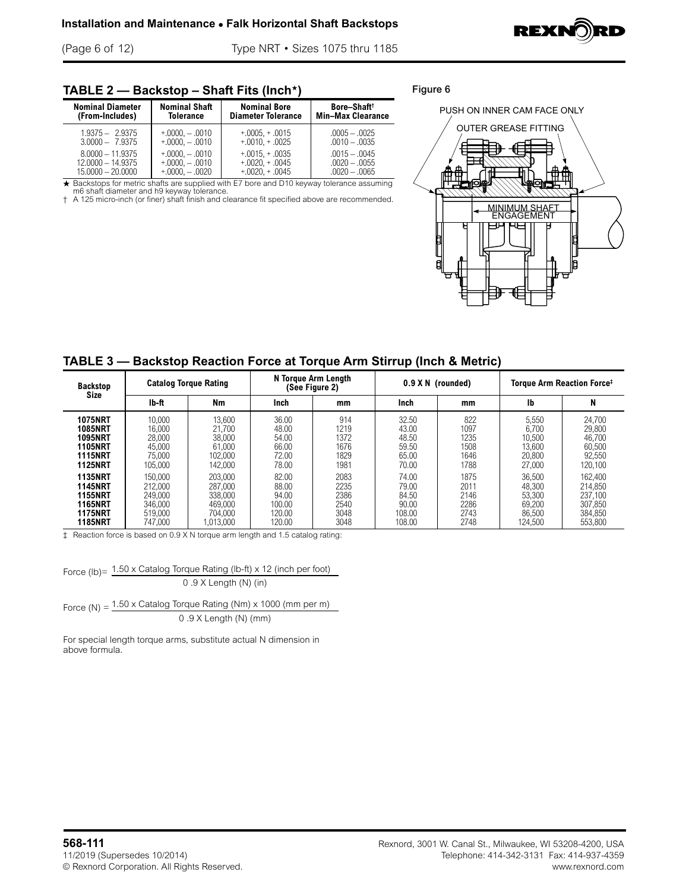<span id="page-5-0"></span>TABLE 2 — Backstop – Shaft Fits (Inch<sup>\*</sup>)

| <b>Nominal Diameter</b> | <b>Nominal Shaft</b> | <b>Nominal Bore</b>       | Bore-Shaft <sup>†</sup>  |
|-------------------------|----------------------|---------------------------|--------------------------|
| (From-Includes)         | <b>Tolerance</b>     | <b>Diameter Tolerance</b> | <b>Min-Max Clearance</b> |
| $1.9375 - 2.9375$       | $+.0000. - .0010$    | $+0005. + 0015$           | $.0005 - .0025$          |
| $3.0000 - 7.9375$       | $+.0000. - .0010$    | $+.0010.+.0025$           | $.0010 - .0035$          |
| $8.0000 - 11.9375$      | $+.0000. - .0010$    | $+0.015 + 0.035$          | $.0015 - .0045$          |
| $12.0000 - 14.9375$     | $+.0000. - .0010$    | $+0020.+0045$             | $.0020 - .0055$          |
| $15.0000 - 20.0000$     | $+.0000. - .0020$    | $+0020.+0045$             | $.0020 - .0065$          |

★ Backstops for metric shafts are supplied with E7 bore and D10 keyway tolerance assuming<br>n6 shaft diameter and h9 keyway tolerance.<br>† A 125 micro-inch (or finer) shaft finish and clearance fit specified above are recomme

ᄑ ΗE

## <span id="page-5-1"></span>**TABLE 3 — Backstop Reaction Force at Torque Arm Stirrup (Inch & Metric)**

| <b>Backstop</b> | <b>Catalog Torque Rating</b> |           | N Torque Arm Length<br>(See Figure 2) |      | $0.9$ X N (rounded) |      | Torque Arm Reaction Force <sup>#</sup> |         |
|-----------------|------------------------------|-----------|---------------------------------------|------|---------------------|------|----------------------------------------|---------|
| Size            | Ib-ft                        | Nm        | Inch                                  | mm   | <b>Inch</b>         | mm   | Ib                                     | N       |
| <b>1075NRT</b>  | 10,000                       | 13.600    | 36.00                                 | 914  | 32.50               | 822  | 5,550                                  | 24,700  |
| <b>1085NRT</b>  | 16.000                       | 21.700    | 48.00                                 | 1219 | 43.00               | 1097 | 6.700                                  | 29,800  |
| <b>1095NRT</b>  | 28,000                       | 38,000    | 54.00                                 | 1372 | 48.50               | 1235 | 10.500                                 | 46.700  |
| <b>1105NRT</b>  | 45.000                       | 61.000    | 66.00                                 | 1676 | 59.50               | 1508 | 13.600                                 | 60.500  |
| <b>1115NRT</b>  | 75.000                       | 102.000   | 72.00                                 | 1829 | 65.00               | 1646 | 20.800                                 | 92.550  |
| <b>1125NRT</b>  | 105.000                      | 142.000   | 78.00                                 | 1981 | 70.00               | 1788 | 27,000                                 | 120,100 |
| <b>1135NRT</b>  | 150.000                      | 203.000   | 82.00                                 | 2083 | 74.00               | 1875 | 36.500                                 | 162.400 |
| <b>1145NRT</b>  | 212.000                      | 287.000   | 88.00                                 | 2235 | 79.00               | 2011 | 48,300                                 | 214.850 |
| <b>1155NRT</b>  | 249.000                      | 338,000   | 94.00                                 | 2386 | 84.50               | 2146 | 53.300                                 | 237.100 |
| <b>1165NRT</b>  | 346.000                      | 469.000   | 100.00                                | 2540 | 90.00               | 2286 | 69.200                                 | 307.850 |
| <b>1175NRT</b>  | 519.000                      | 704.000   | 120.00                                | 3048 | 108.00              | 2743 | 86.500                                 | 384.850 |
| <b>1185NRT</b>  | 747.000                      | 1.013.000 | 120.00                                | 3048 | 108.00              | 2748 | 124.500                                | 553.800 |

‡ Reaction force is based on 0.9 X N torque arm length and 1.5 catalog rating:

Force (lb)=  $1.50 \times$  Catalog Torque Rating (lb-ft) x 12 (inch per foot)

0 .9 X Length (N) (in)

Force (N) =  $\frac{1.50 \times$  Catalog Torque Rating (Nm)  $\times$  1000 (mm per m) 0 .9 X Length (N) (mm)

For special length torque arms, substitute actual N dimension in above formula.



PUSH ON INNER CAM FACE ONLY

OUTER GREASE FITTING

MINIMUM SHAFT ENGAGEMENT

<span id="page-5-2"></span>Figure 6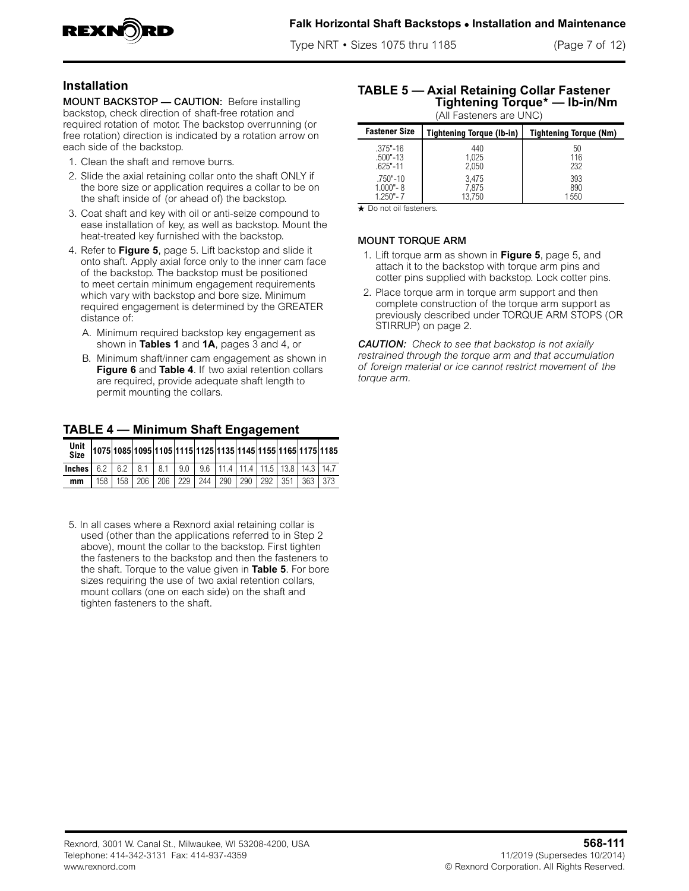<span id="page-6-0"></span>

Type NRT • Sizes 1075 thru 1185 (Page 7 of 12)

### **Installation**

MOUNT BACKSTOP — CAUTION: Before installing backstop, check direction of shaft-free rotation and required rotation of motor. The backstop overrunning (or free rotation) direction is indicated by a rotation arrow on each side of the backstop.

- 1. Clean the shaft and remove burrs.
- 2. Slide the axial retaining collar onto the shaft ONLY if the bore size or application requires a collar to be on the shaft inside of (or ahead of) the backstop.
- 3. Coat shaft and key with oil or anti-seize compound to ease installation of key, as well as backstop. Mount the heat-treated key furnished with the backstop.
- 4. Refer to **[Figure 5](#page-4-5)**, page 5. Lift backstop and slide it onto shaft. Apply axial force only to the inner cam face of the backstop. The backstop must be positioned to meet certain minimum engagement requirements which vary with backstop and bore size. Minimum required engagement is determined by the GREATER distance of:
	- A. Minimum required backstop key engagement as shown in **[Tables 1](#page-2-0)** and **[1A](#page-3-0)**, pages 3 and 4, or
	- B. Minimum shaft/inner cam engagement as shown in **[Figure 6](#page-5-2)** and **[Table 4](#page-6-1)**. If two axial retention collars are required, provide adequate shaft length to permit mounting the collars.

### <span id="page-6-1"></span>**TABLE 4 — Minimum Shaft Engagement**

| Unit  1075 1085 1095 1105 1115 1125 1135 1145 1155 1165 1175 1185   |  |                                                                       |  |  |  |  |  |
|---------------------------------------------------------------------|--|-----------------------------------------------------------------------|--|--|--|--|--|
| <b>Inches</b> 6.2 6.2 8.1 8.1 9.0 9.6 11.4 11.4 11.5 13.8 14.3 14.7 |  |                                                                       |  |  |  |  |  |
| mm                                                                  |  | 158   158   206   206   229   244   290   290   292   351   363   373 |  |  |  |  |  |

 5. In all cases where a Rexnord axial retaining collar is used (other than the applications referred to in Step 2 above), mount the collar to the backstop. First tighten the fasteners to the backstop and then the fasteners to the shaft. Torque to the value given in **[Table 5](#page-6-2)**. For bore sizes requiring the use of two axial retention collars, mount collars (one on each side) on the shaft and tighten fasteners to the shaft.

#### <span id="page-6-2"></span>**TABLE 5 — Axial Retaining Collar Fastener Tightening Torque<sup>\*</sup> — lb-in/Nm** (All Fasteners are UNC)

| <b>Fastener Size</b> | Tightening Torque (Ib-in) | <b>Tightening Torque (Nm)</b> |
|----------------------|---------------------------|-------------------------------|
| $.375 - 16$          | 440                       | 50                            |
| $.500 - 13$          | 1.025                     | 116                           |
| $.625 - 11$          | 2,050                     | 232                           |
| $.750" - 10$         | 3.475                     | 393                           |
| $1.000 - 8$          | 7.875                     | 890                           |
| $1.250 - 7$          | 13.750                    | 1550                          |

★ Do not oil fasteners.

#### MOUNT TORQUE ARM

- 1. Lift torque arm as shown in **[Figure 5](#page-4-5)**, page 5, and attach it to the backstop with torque arm pins and cotter pins supplied with backstop. Lock cotter pins.
- 2. Place torque arm in torque arm support and then complete construction of the torque arm support as previously described under TORQUE ARM STOPS (OR STIRRUP) on page 2.

*CAUTION: Check to see that backstop is not axially restrained through the torque arm and that accumulation of foreign material or ice cannot restrict movement of the torque arm.*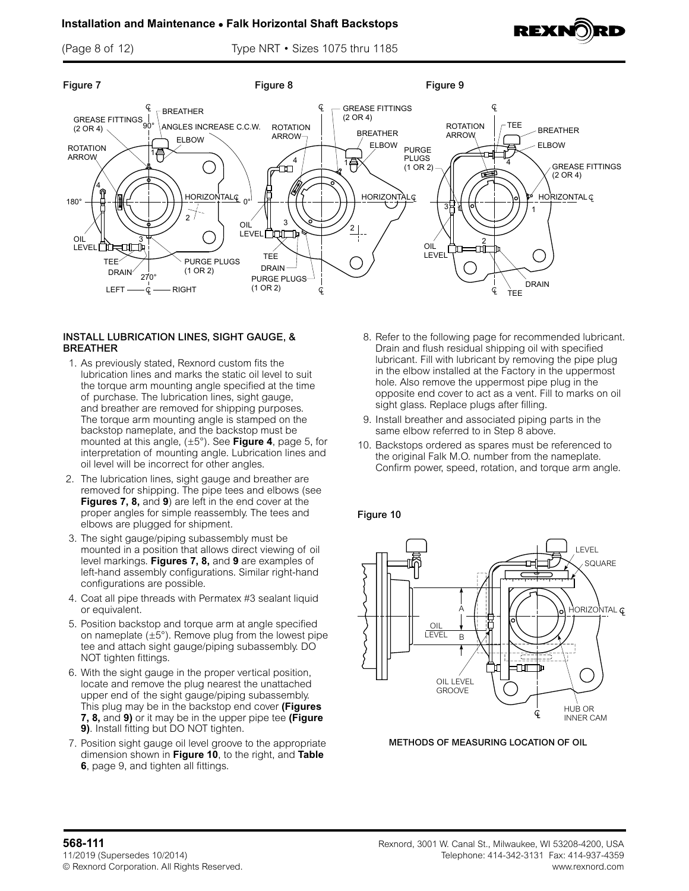#### **Installation and Maintenance • Falk Horizontal Shaft Backstops**

(Page 8 of 12) Type NRT • Sizes 1075 thru 1185



#### INSTALL LUBRICATION LINES, SIGHT GAUGE, & BREATHER

- 1. As previously stated, Rexnord custom fits the lubrication lines and marks the static oil level to suit the torque arm mounting angle specified at the time of purchase. The lubrication lines, sight gauge, and breather are removed for shipping purposes. The torque arm mounting angle is stamped on the backstop nameplate, and the backstop must be mounted at this angle, (±5°). See **[Figure 4](#page-4-0)**, page 5, for interpretation of mounting angle. Lubrication lines and oil level will be incorrect for other angles.
- 2. The lubrication lines, sight gauge and breather are removed for shipping. The pipe tees and elbows (see **Figures 7, 8,** and **9**) are left in the end cover at the proper angles for simple reassembly. The tees and elbows are plugged for shipment.
- 3. The sight gauge/piping subassembly must be mounted in a position that allows direct viewing of oil level markings. **Figures 7, 8,** and **9** are examples of left-hand assembly configurations. Similar right-hand configurations are possible.
- 4. Coat all pipe threads with Permatex #3 sealant liquid or equivalent.
- 5. Position backstop and torque arm at angle specified on nameplate  $(\pm 5^{\circ})$ . Remove plug from the lowest pipe tee and attach sight gauge/piping subassembly. DO NOT tighten fittings.
- 6. With the sight gauge in the proper vertical position, locate and remove the plug nearest the unattached upper end of the sight gauge/piping subassembly. This plug may be in the backstop end cover **(Figures 7, 8,** and **9)** or it may be in the upper pipe tee **([Figure](#page-7-0)  [9\)](#page-7-0)**. Install fitting but DO NOT tighten.
- 7. Position sight gauge oil level groove to the appropriate dimension shown in **[Figure 10](#page-7-1)**, to the right, and **[Table](#page-8-1)  [6](#page-8-1)**, page 9, and tighten all fittings.
- 8. Refer to the following page for recommended lubricant. Drain and flush residual shipping oil with specified lubricant. Fill with lubricant by removing the pipe plug in the elbow installed at the Factory in the uppermost hole. Also remove the uppermost pipe plug in the opposite end cover to act as a vent. Fill to marks on oil sight glass. Replace plugs after filling.
- 9. Install breather and associated piping parts in the same elbow referred to in Step 8 above.
- 10. Backstops ordered as spares must be referenced to the original Falk M.O. number from the nameplate. Confirm power, speed, rotation, and torque arm angle.

#### <span id="page-7-1"></span>Figure 10



METHODS OF MEASURING LOCATION OF OIL

<span id="page-7-0"></span>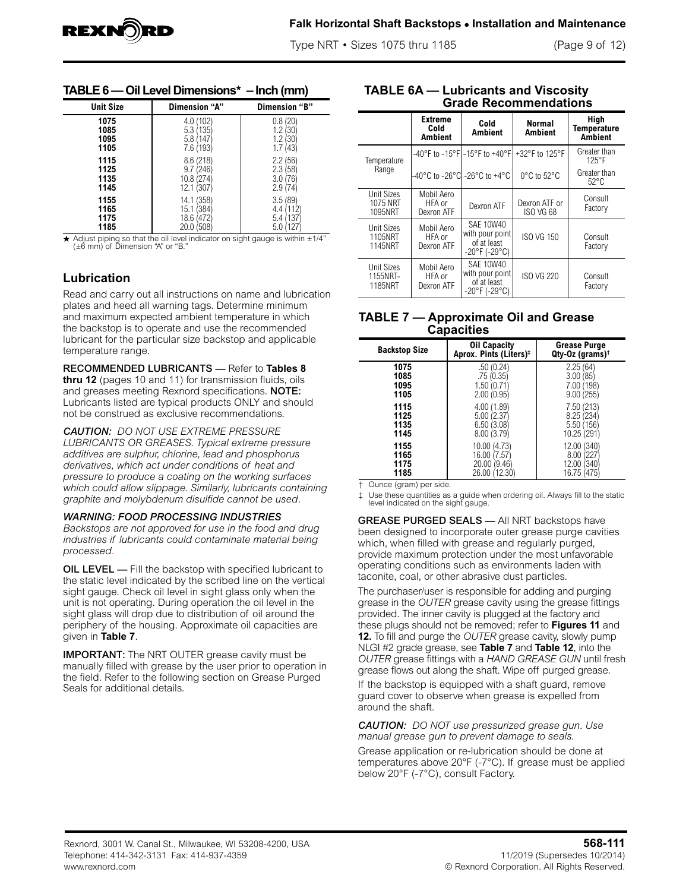<span id="page-8-0"></span>

Type NRT • Sizes 1075 thru 1185 (Page 9 of 12)

<span id="page-8-1"></span>

|  |  | TABLE 6 — Oil Level Dimensions $*$ – Inch (mm) |  |
|--|--|------------------------------------------------|--|
|--|--|------------------------------------------------|--|

| Dimension "B"<br><b>Unit Size</b><br>Dimension "A"<br>1075<br>4.0 (102)<br>0.8(20)<br>1085<br>5.3 (135)<br>1.2 (30<br>1095<br>1.2(30)<br>5.8 (147)<br>1105<br>7.6 (193)<br>1.7(43)<br>1115<br>2.2(56)<br>8.6(218)<br>1125<br>2.3(58)<br>9.7(246)<br>1135<br>10.8 (274)<br>3.0(76)<br>1145<br>12.1 (307)<br>2.9(74)<br>1155<br>3.5(89)<br>14.1 (358)<br>1165<br>15.1 (384)<br>112<br>4.4 |      |            |          |
|-----------------------------------------------------------------------------------------------------------------------------------------------------------------------------------------------------------------------------------------------------------------------------------------------------------------------------------------------------------------------------------------|------|------------|----------|
|                                                                                                                                                                                                                                                                                                                                                                                         |      |            |          |
|                                                                                                                                                                                                                                                                                                                                                                                         |      |            |          |
|                                                                                                                                                                                                                                                                                                                                                                                         |      |            |          |
| 1185<br>20.0 (508)<br>5.0 (127                                                                                                                                                                                                                                                                                                                                                          | 1175 | 18.6 (472) | 5.4 (137 |

+ Adjust piping so that the oil level indicator on sight gauge is within ±1/4" (±6 mm) of Dimension "A" or "B."

# **Lubrication**

Read and carry out all instructions on name and lubrication plates and heed all warning tags. Determine minimum and maximum expected ambient temperature in which the backstop is to operate and use the recommended lubricant for the particular size backstop and applicable temperature range.

RECOMMENDED LUBRICANTS — Refer to **[Tables 8](#page-9-0) thru 12** (pages 10 and 11) for transmission fluids, oils and greases meeting Rexnord specifications. NOTE: Lubricants listed are typical products ONLY and should not be construed as exclusive recommendations.

*CAUTION: DO NOT USE EXTREME PRESSURE LUBRICANTS OR GREASES. Typical extreme pressure additives are sulphur, chlorine, lead and phosphorus derivatives, which act under conditions of heat and pressure to produce a coating on the working surfaces which could allow slippage. Similarly, lubricants containing graphite and molybdenum disulfide cannot be used.*

#### *WARNING: FOOD PROCESSING INDUSTRIES*

*Backstops are not approved for use in the food and drug industries if lubricants could contaminate material being processed.*

OIL LEVEL — Fill the backstop with specified lubricant to the static level indicated by the scribed line on the vertical sight gauge. Check oil level in sight glass only when the unit is not operating. During operation the oil level in the sight glass will drop due to distribution of oil around the periphery of the housing. Approximate oil capacities are given in **[Table 7](#page-8-2)**.

IMPORTANT: The NRT OUTER grease cavity must be manually filled with grease by the user prior to operation in the field. Refer to the following section on Grease Purged Seals for additional details.

### **TABLE 6A — Lubricants and Viscosity Grade Recommendations**

|                                          | <b>Extreme</b><br>Cold<br><b>Ambient</b> | Cold<br><b>Ambient</b>                                                            | <b>Normal</b><br><b>Ambient</b>                                                                | <b>High</b><br>Temperature<br><b>Ambient</b> |
|------------------------------------------|------------------------------------------|-----------------------------------------------------------------------------------|------------------------------------------------------------------------------------------------|----------------------------------------------|
| Temperature                              |                                          |                                                                                   | $-40^{\circ}$ F to $-15^{\circ}$ F $-15^{\circ}$ F to $+40^{\circ}$ F $+32^{\circ}$ F to 125°F | Greater than<br>$125^{\circ}$ F              |
| Range                                    |                                          | -40°C to -26°C -26°C to +4°C                                                      | $0^{\circ}$ C to 52 $^{\circ}$ C                                                               | Greater than<br>$52^{\circ}$ C               |
| Unit Sizes<br>1075 NRT<br>1095NRT        | Mobil Aero<br>HFA or<br>Dexron ATF       | Dexron ATF                                                                        | Dexron ATF or<br><b>ISO VG 68</b>                                                              | Consult<br>Factory                           |
| Unit Sizes<br>1105NRT<br>1145NRT         | Mobil Aero<br>HFA or<br>Dexron ATF       | SAE 10W40<br>with pour point<br>of at least<br>$-20^{\circ}$ F ( $-29^{\circ}$ C) | ISO VG 150                                                                                     | Consult<br>Factory                           |
| <b>Unit Sizes</b><br>1155NRT-<br>1185NRT | Mobil Aero<br>HFA or<br>Dexron ATF       | SAE 10W40<br>with pour point<br>of at least<br>$-20^{\circ}$ F ( $-29^{\circ}$ C) | ISO VG 220                                                                                     | Consult<br>Factory                           |

### <span id="page-8-2"></span>**TABLE 7 — Approximate Oil and Grease Capacities**

| <b>Backstop Size</b> | <b>Oil Capacity</b><br>Aprox. Pints (Liters) <sup>‡</sup> | <b>Grease Purge</b><br>$Q$ ty-Oz (grams) <sup>†</sup> |
|----------------------|-----------------------------------------------------------|-------------------------------------------------------|
| 1075                 | .50(0.24)                                                 | 2.25(64)                                              |
| 1085                 | .75(0.35)                                                 | 3.00(85)                                              |
| 1095                 | 1.50 (0.71)                                               | 7.00 (198)                                            |
| 1105                 | 2.00(0.95)                                                | 9.00(255)                                             |
| 1115                 | 4.00 (1.89)                                               | 7.50 (213)                                            |
| 1125                 | 5.00 (2.37)                                               | 8.25 (234)                                            |
| 1135                 | 6.50(3.08)                                                | 5.50(156)                                             |
| 1145                 | 8.00(3.79)                                                | 10.25 (291)                                           |
| 1155                 | 10.00 (4.73)                                              | 12.00 (340)                                           |
| 1165                 | 16.00 (7.57)                                              | 8.00 (227                                             |
| 1175                 | 20.00 (9.46)                                              | 12.00 (340)                                           |
| 1185                 | 26.00 (12.30)                                             | 16.75 (475)                                           |

† Ounce (gram) per side.

‡ Use these quantities as a guide when ordering oil. Always fill to the static level indicated on the sight gauge.

**GREASE PURGED SEALS - All NRT backstops have** been designed to incorporate outer grease purge cavities which, when filled with grease and regularly purged, provide maximum protection under the most unfavorable operating conditions such as environments laden with taconite, coal, or other abrasive dust particles.

The purchaser/user is responsible for adding and purging grease in the *OUTER* grease cavity using the grease fittings provided. The inner cavity is plugged at the factory and these plugs should not be removed; refer to **[Figures 11](#page-9-0)** and **[12.](#page-9-0)** To fill and purge the *OUTER* grease cavity, slowly pump NLGI #2 grade grease, see **[Table 7](#page-8-2)** and **[Table 12](#page-10-1)**, into the *OUTER* grease fittings with a *HAND GREASE GUN* until fresh grease flows out along the shaft. Wipe off purged grease.

If the backstop is equipped with a shaft guard, remove guard cover to observe when grease is expelled from around the shaft.

*CAUTION: DO NOT use pressurized grease gun. Use manual grease gun to prevent damage to seals.*

Grease application or re-lubrication should be done at temperatures above 20°F (-7°C). If grease must be applied below 20°F (-7°C), consult Factory.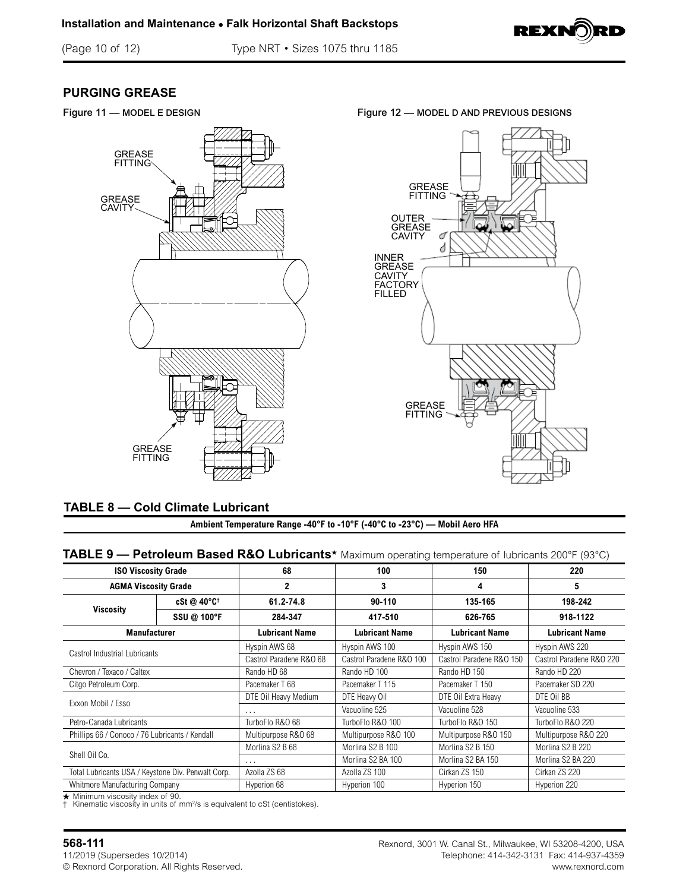#### <span id="page-9-0"></span>**Installation and Maintenance • Falk Horizontal Shaft Backstops**



# **PURGING GREASE**

Figure 11 — MODEL E DESIGN Figure 12 — MODEL D AND PREVIOUS DESIGNS





# **TABLE 8 — Cold Climate Lubricant Cold Climate 12 - Model B and previous designs**

**Ambient Temperature Range -40°F to -10°F (-40°C to -23°C) — Mobil Aero HFA**

### **TABLE 9 — Petroleum Based R&O Lubricants**<sup>\*</sup> Maximum operating temperature of lubricants 200°F (93°C)

| <b>ISO Viscosity Grade</b>                         |                    | 68                      | 100                      | 150                      | 220                      |
|----------------------------------------------------|--------------------|-------------------------|--------------------------|--------------------------|--------------------------|
| <b>AGMA Viscosity Grade</b>                        |                    | $\mathbf{2}$            | 3                        | 4                        | 5                        |
| $cSt @ 40°C^+$                                     |                    | 61.2-74.8               | 90-110                   | 135-165                  | 198-242                  |
| <b>Viscosity</b>                                   | <b>SSU @ 100°F</b> | 284-347                 | 417-510                  | 626-765                  | 918-1122                 |
| <b>Manufacturer</b>                                |                    | <b>Lubricant Name</b>   | <b>Lubricant Name</b>    | <b>Lubricant Name</b>    | <b>Lubricant Name</b>    |
| Castrol Industrial Lubricants                      |                    | Hyspin AWS 68           | Hyspin AWS 100           | Hyspin AWS 150           | Hyspin AWS 220           |
|                                                    |                    | Castrol Paradene R&O 68 | Castrol Paradene R&O 100 | Castrol Paradene R&O 150 | Castrol Paradene R&O 220 |
| Chevron / Texaco / Caltex                          |                    | Rando HD 68             | Rando HD 100             | Rando HD 150             | Rando HD 220             |
| Citgo Petroleum Corp.                              |                    | Pacemaker T 68          | Pacemaker T 115          | Pacemaker T 150          | Pacemaker SD 220         |
| Exxon Mobil / Esso                                 |                    | DTE Oil Heavy Medium    | DTE Heavy Oil            | DTE Oil Extra Heavy      | DTE Oil BB               |
|                                                    |                    | $\cdots$                | Vacuoline 525            | Vacuoline 528            | Vacuoline 533            |
| Petro-Canada Lubricants                            |                    | TurboFlo R&O 68         | TurboFlo R&O 100         | TurboFlo R&O 150         | TurboFlo R&O 220         |
| Phillips 66 / Conoco / 76 Lubricants / Kendall     |                    | Multipurpose R&O 68     | Multipurpose R&O 100     | Multipurpose R&O 150     | Multipurpose R&O 220     |
|                                                    |                    | Morlina S2 B 68         | Morlina S2 B 100         | Morlina S2 B 150         | Morlina S2 B 220         |
| Shell Oil Co.                                      |                    | $\cdots$                | Morlina S2 BA 100        | Morlina S2 BA 150        | Morlina S2 BA 220        |
| Total Lubricants USA / Keystone Div. Penwalt Corp. |                    | Azolla ZS 68            | Azolla ZS 100            | Cirkan ZS 150            | Cirkan ZS 220            |
| Whitmore Manufacturing Company                     |                    | Hyperion 68             | Hyperion 100             | Hyperion 150             | Hyperion 220             |

★ Minimum viscosity index of 90.<br>† Kinematic viscosity in units of n

† Kinematic viscosity in units of mm2 /s is equivalent to cSt (centistokes).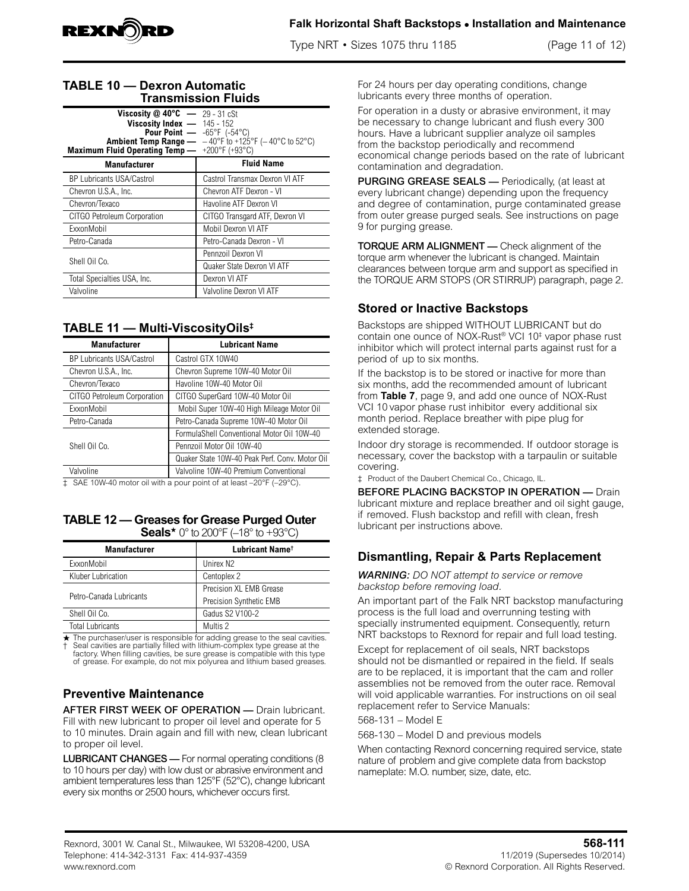<span id="page-10-0"></span>

### **Falk Horizontal Shaft Backstops • Installation and Maintenance**

Type NRT • Sizes 1075 thru 1185 (Page 11 of 12)

#### **TABLE 10 — Dexron Automatic Transmission Fluids**

| <b>Viscosity @ 40°C</b> $-$ 29 - 31 cSt<br>Viscosity Index $-$ 145 - 152<br>Maximum Fluid Operating Temp - +200°F (+93°C) | <b>Pour Point —</b> $-65^{\circ}F$ ( $-54^{\circ}C$ )<br><b>Ambient Temp Range —</b> $-40^{\circ}$ F to +125°F ( $-40^{\circ}$ C to 52°C) |
|---------------------------------------------------------------------------------------------------------------------------|-------------------------------------------------------------------------------------------------------------------------------------------|
| <b>Manufacturer</b>                                                                                                       | <b>Fluid Name</b>                                                                                                                         |
| <b>BP Lubricants USA/Castrol</b>                                                                                          | Castrol Transmax Dexron VI ATF                                                                                                            |
| Chevron U.S.A., Inc.                                                                                                      | Chevron ATF Dexron - VI                                                                                                                   |
| Chevron/Texaco                                                                                                            | Havoline ATF Dexron VI                                                                                                                    |
| CITGO Petroleum Corporation                                                                                               | CITGO Transgard ATF, Dexron VI                                                                                                            |
| ExxonMobil                                                                                                                | Mobil Dexron VI ATF                                                                                                                       |
| Petro-Canada                                                                                                              | Petro-Canada Dexron - VI                                                                                                                  |
| Shell Oil Co.                                                                                                             | Pennzoil Dexron VI                                                                                                                        |
|                                                                                                                           | Quaker State Dexron VI ATF                                                                                                                |
| Total Specialties USA, Inc.                                                                                               | Dexron VI ATF                                                                                                                             |
| Valvoline                                                                                                                 | Valvoline Dexron VI ATF                                                                                                                   |

# **TABLE 11 — Multi-ViscosityOils‡**

| <b>Manufacturer</b>                                                 | <b>Lubricant Name</b>                                          |
|---------------------------------------------------------------------|----------------------------------------------------------------|
| BP Lubricants USA/Castrol                                           | Castrol GTX 10W40                                              |
| Chevron U.S.A., Inc.                                                | Chevron Supreme 10W-40 Motor Oil                               |
| Chevron/Texaco                                                      | Havoline 10W-40 Motor Oil                                      |
| CITGO Petroleum Corporation                                         | CITGO SuperGard 10W-40 Motor Oil                               |
| ExxonMobil                                                          | Mobil Super 10W-40 High Mileage Motor Oil                      |
| Petro-Canada                                                        | Petro-Canada Supreme 10W-40 Motor Oil                          |
| Shell Oil Co.                                                       | FormulaShell Conventional Motor Oil 10W-40                     |
|                                                                     | Pennzoil Motor Oil 10W-40                                      |
|                                                                     | Quaker State 10W-40 Peak Perf. Conv. Motor Oil                 |
| Valvoline                                                           | Valvoline 10W-40 Premium Conventional                          |
| $\sim$ $\sim$ $\sim$ $\sim$ $\sim$ $\sim$ $\sim$ $\sim$<br>$\cdots$ | $\cdots$ $\cdots$ $\cdots$ $\cdots$ $\cdots$ $\cdots$ $\cdots$ |

‡ SAE 10W-40 motor oil with a pour point of at least –20°F (–29°C).

### <span id="page-10-1"></span>**TABLE 12 — Greases for Grease Purged Outer Seals**<sup> $\star$ </sup> 0° to 200°F (–18° to +93°C)

| <b>Manufacturer</b>     | Lubricant Name <sup>†</sup> |
|-------------------------|-----------------------------|
| ExxonMobil              | Unirex N <sub>2</sub>       |
| Kluber Lubrication      | Centoplex 2                 |
| Petro-Canada Lubricants | Precision XL EMB Grease     |
|                         | Precision Synthetic EMB     |
| Shell Oil Co.           | Gadus S2 V100-2             |
| <b>Total Lubricants</b> | Multis <sub>2</sub>         |

The purchaser/user is responsible for adding grease to the seal cavities. † Seal cavities are partially filled with lithium-complex type grease at the factory. When filling cavities, be sure grease is compatible with this type of grease. For example, do not mix polyurea and lithium based greases.

# **Preventive Maintenance**

AFTER FIRST WEEK OF OPERATION — Drain lubricant. Fill with new lubricant to proper oil level and operate for 5 to 10 minutes. Drain again and fill with new, clean lubricant to proper oil level.

LUBRICANT CHANGES — For normal operating conditions (8 to 10 hours per day) with low dust or abrasive environment and ambient temperatures less than 125°F (52°C), change lubricant every six months or 2500 hours, whichever occurs first.

For 24 hours per day operating conditions, change lubricants every three months of operation.

For operation in a dusty or abrasive environment, it may be necessary to change lubricant and flush every 300 hours. Have a lubricant supplier analyze oil samples from the backstop periodically and recommend economical change periods based on the rate of lubricant contamination and degradation.

PURGING GREASE SEALS - Periodically, (at least at every lubricant change) depending upon the frequency and degree of contamination, purge contaminated grease from outer grease purged seals. See instructions on page 9 for purging grease.

TORQUE ARM ALIGNMENT — Check alignment of the torque arm whenever the lubricant is changed. Maintain clearances between torque arm and support as specified in the TORQUE ARM STOPS (OR STIRRUP) paragraph, page 2.

# **Stored or Inactive Backstops**

Backstops are shipped WITHOUT LUBRICANT but do contain one ounce of NOX-Rust® VCI 10<sup>‡</sup> vapor phase rust inhibitor which will protect internal parts against rust for a period of up to six months.

If the backstop is to be stored or inactive for more than six months, add the recommended amount of lubricant from **[Table 7](#page-8-2)**, page 9, and add one ounce of NOX-Rust VCI 10 vapor phase rust inhibitor every additional six month period. Replace breather with pipe plug for extended storage.

Indoor dry storage is recommended. If outdoor storage is necessary, cover the backstop with a tarpaulin or suitable covering.

‡ Product of the Daubert Chemical Co., Chicago, IL.

BEFORE PLACING BACKSTOP IN OPERATION — Drain lubricant mixture and replace breather and oil sight gauge, if removed. Flush backstop and refill with clean, fresh lubricant per instructions above.

# **Dismantling, Repair & Parts Replacement**

*WARNING: DO NOT attempt to service or remove backstop before removing load.*

An important part of the Falk NRT backstop manufacturing process is the full load and overrunning testing with specially instrumented equipment. Consequently, return NRT backstops to Rexnord for repair and full load testing.

Except for replacement of oil seals, NRT backstops should not be dismantled or repaired in the field. If seals are to be replaced, it is important that the cam and roller assemblies not be removed from the outer race. Removal will void applicable warranties. For instructions on oil seal replacement refer to Service Manuals:

568-131 – Model E

568-130 – Model D and previous models

When contacting Rexnord concerning required service, state nature of problem and give complete data from backstop nameplate: M.O. number, size, date, etc.